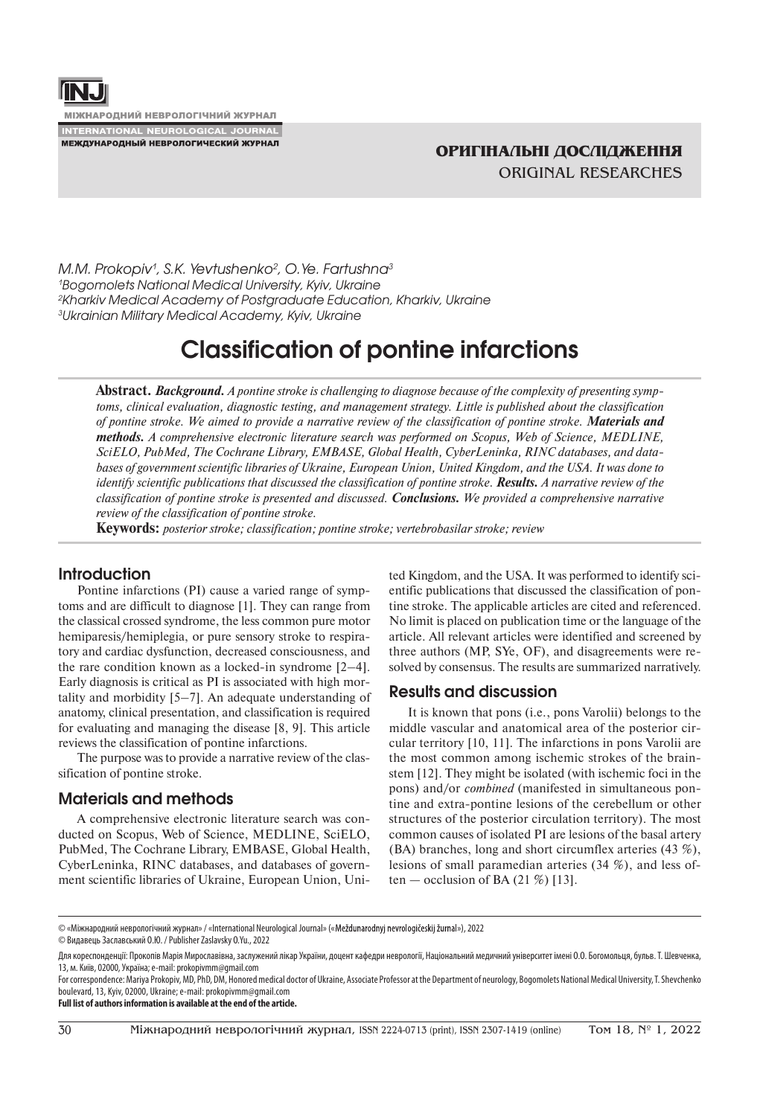

**МІЖНАРОДНИЙ НЕВРОЛОГІЧНИЙ ЖУРНАЛ INTERNATIONAL NEUROLOGICAL JOURNAL** 

МЕЖДУНАРОДНЫЙ НЕВРОЛОГИЧЕСКИЙ ЖУРНАЛ

*M.M. Prokopiv1 , S.K. Yevtushenko2 , O.Ye. Fartushna3 Bogomolets National Medical University, Kyiv, Ukraine Kharkiv Medical Academy of Postgraduate Education, Kharkiv, Ukraine Ukrainian Military Medical Academy, Kyiv, Ukraine*

# **Classification of pontine infarctions**

**Abstract.** *Background. A pontine stroke is challenging to diagnose because of the complexity of presenting symptoms, clinical evaluation, diagnostic testing, and management strategy. Little is published about the classification of pontine stroke. We aimed to provide a narrative review of the classification of pontine stroke. Materials and methods. A comprehensive electronic literature search was performed on Scopus, Web of Science, MEDLINE, SciELO, PubMed, The Cochrane Library, EMBASE, Global Health, CyberLeninka, RINC databases, and databases of government scientific libraries of Ukraine, European Union, United Kingdom, and the USA. It was done to identify scientific publications that discussed the classification of pontine stroke. Results. A narrative review of the classification of pontine stroke is presented and discussed. Conclusions. We provided a comprehensive narrative review of the classification of pontine stroke.*

**Keywords:** *posterior stroke; classification; pontine stroke; vertebrobasilar stroke; review*

# **Introduction**

Pontine infarctions (PI) cause a varied range of symptoms and are difficult to diagnose [1]. They can range from the classical crossed syndrome, the less common pure motor hemiparesis/hemiplegia, or pure sensory stroke to respiratory and cardiac dysfunction, decreased consciousness, and the rare condition known as a locked-in syndrome [2–4]. Early diagnosis is critical as PI is associated with high mortality and morbidity [5–7]. An adequate understanding of anatomy, clinical presentation, and classification is required for evaluating and managing the disease [8, 9]. This article reviews the classification of pontine infarctions.

The purpose was to provide a narrative review of the classification of pontine stroke.

## **Materials and methods**

A comprehensive electronic literature search was conducted on Scopus, Web of Science, MEDLINE, SciELО, PubMed, The Cochrane Library, EMBASE, Global Health, CyberLeninka, RINC databases, and databases of government scientific libraries of Ukraine, European Union, United Kingdom, and the USA. It was performed to identify scientific publications that discussed the classification of pontine stroke. The applicable articles are cited and referenced. No limit is placed on publication time or the language of the article. All relevant articles were identified and screened by three authors (MP, SYe, OF), and disagreements were resolved by consensus. The results are summarized narratively.

#### **Results and discussion**

It is known that pons (i.e., pons Varolii) belongs to the middle vascular and anatomical area of the posterior circular territory [10, 11]. The infarctions in pons Varolii are the most common among ischemic strokes of the brainstem [12]. They might be isolated (with ischemic foci in the pons) and/or *combined* (manifested in simultaneous pontine and extra-pontine lesions of the cerebellum or other structures of the posterior circulation territory). The most common causes of isolated PI are lesions of the basal artery (BA) branches, long and short circumflex arteries (43 %), lesions of small paramedian arteries (34 %), and less often — occlusion of BA  $(21\%)$  [13].

**Full list of authors information is available at the end of the article.**

<sup>© «</sup>Міжнародний неврологічний журнал» / «International Neurological Journal» (« »), 2022

<sup>©</sup> Видавець Заславський О.Ю. / Publisher Zaslavsky O.Yu., 2022

Для кореспонденції: Прокопів Марія Мирославівна, заслужений лікар України, доцент кафедри неврології, Національний медичний університет імені О.О. Богомольця, бульв. Т. Шевченка, 13, м. Київ, 02000, Україна; e-mail: prokopivmm@gmail.com

For correspondence: Mariya Prokopiv, MD, PhD, DM, Honored medical doctor of Ukraine, Associate Professor at the Department of neurology, Bogomolets National Medical University, T. Shevchenko boulevard, 13, Kyiv, 02000, Ukraine; e-mail: prokopivmm@gmail.com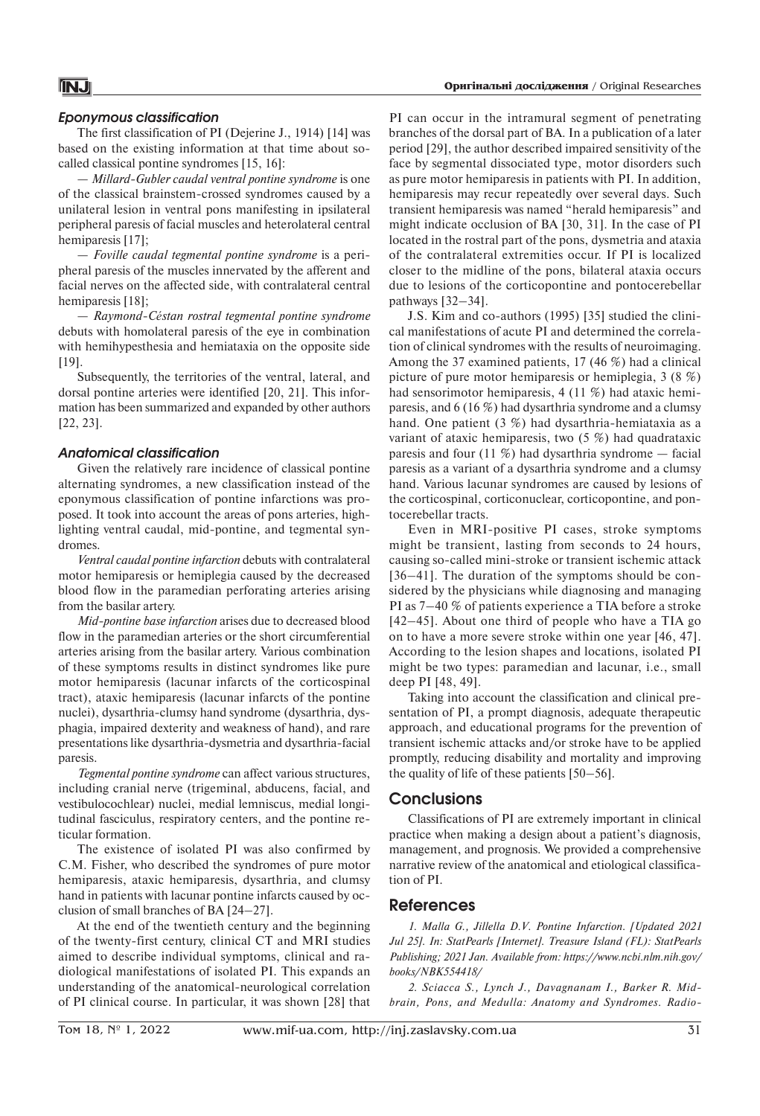#### *Eponymous classification*

The first classification of PI (Dejerine J., 1914) [14] was based on the existing information at that time about socalled classical pontine syndromes [15, 16]:

— *Millard-Gubler caudal ventral pontine syndrome* is one of the classical brainstem-crossed syndromes caused by a unilateral lesion in ventral pons manifesting in ipsilateral peripheral paresis of facial muscles and heterolateral central hemiparesis [17];

— *Foville caudal tegmental pontine syndrome* is a peripheral paresis of the muscles innervated by the afferent and facial nerves on the affected side, with contralateral central hemiparesis [18];

— *Raymond-Céstan rostral tegmental pontine syndrome* debuts with homolateral paresis of the eye in combination with hemihypesthesia and hemiataxia on the opposite side [19].

Subsequently, the territories of the ventral, lateral, and dorsal pontine arteries were identified [20, 21]. This information has been summarized and expanded by other authors [22, 23].

#### *Anatomical сlassification*

Given the relatively rare incidence of classical pontine alternating syndromes, a new classification instead of the eponymous classification of pontine infarctions was proposed. It took into account the areas of pons arteries, highlighting ventral caudal, mid-pontine, and tegmental syndromes.

*Ventral caudal pontine infarction* debuts with contralateral motor hemiparesis or hemiplegia caused by the decreased blood flow in the paramedian perforating arteries arising from the basilar artery.

*Mid-pontine base infarction* arises due to decreased blood flow in the paramedian arteries or the short circumferential arteries arising from the basilar artery. Various combination of these symptoms results in distinct syndromes like pure motor hemiparesis (lacunar infarcts of the corticospinal tract), ataxic hemiparesis (lacunar infarcts of the pontine nuclei), dysarthria-clumsy hand syndrome (dysarthria, dysphagia, impaired dexterity and weakness of hand), and rare presentations like dysarthria-dysmetria and dysarthria-facial paresis.

*Tegmental pontine syndrome* can affect various structures, including cranial nerve (trigeminal, abducens, facial, and vestibulocochlear) nuclei, medial lemniscus, medial longitudinal fasciculus, respiratory centers, and the pontine reticular formation.

The existence of isolated PI was also confirmed by С.M. Fisher, who described the syndromes of pure motor hemiparesis, ataxic hemiparesis, dysarthria, and clumsy hand in patients with lacunar pontine infarcts caused by occlusion of small branches of BA [24–27].

At the end of the twentieth century and the beginning of the twenty-first century, clinical CT and MRI studies aimed to describe individual symptoms, clinical and radiological manifestations of isolated PI. This expands an understanding of the anatomical-neurological correlation of PI clinical course. In particular, it was shown [28] that

PI can occur in the intramural segment of penetrating branches of the dorsal part of BA. In a publication of a later period [29], the author described impaired sensitivity of the face by segmental dissociated type, motor disorders such as pure motor hemiparesis in patients with PI. In addition, hemiparesis may recur repeatedly over several days. Such transient hemiparesis was named "herald hemiparesis" and might indicate occlusion of BA [30, 31]. In the case of PI located in the rostral part of the pons, dysmetria and ataxia of the contralateral extremities occur. If PI is localized closer to the midline of the pons, bilateral ataxia occurs due to lesions of the corticopontine and pontocerebellar pathways [32–34].

J.S. Kim and co-authors (1995) [35] studied the clinical manifestations of acute PI and determined the correlation of clinical syndromes with the results of neuroimaging. Among the 37 examined patients, 17 (46 %) had a clinical picture of pure motor hemiparesis or hemiplegia, 3 (8 %) had sensorimotor hemiparesis, 4 (11 %) had ataxic hemiparesis, and 6 (16 %) had dysarthria syndrome and a clumsy hand. One patient (3 %) had dysarthria-hemiataxia as a variant of ataxic hemiparesis, two (5 %) had quadrataxic paresis and four (11  $\%$ ) had dysarthria syndrome — facial paresis as a variant of a dysarthria syndrome and a clumsy hand. Various lacunar syndromes are caused by lesions of the corticospinal, corticonuclear, corticopontine, and pontocerebellar tracts.

Even in MRI-positive PI cases, stroke symptoms might be transient, lasting from seconds to 24 hours, causing so-called mini-stroke or transient ischemic attack [36–41]. The duration of the symptoms should be considered by the physicians while diagnosing and managing PI as 7–40 % of patients experience a TIA before a stroke [42–45]. About one third of people who have a TIA go on to have a more severe stroke within one year [46, 47]. According to the lesion shapes and locations, isolated PI might be two types: paramedian and lacunar, i.e., small deep PI [48, 49].

Taking into account the classification and clinical presentation of PI, a prompt diagnosis, adequate therapeutic approach, and educational programs for the prevention of transient ischemic attacks and/or stroke have to be applied promptly, reducing disability and mortality and improving the quality of life of these patients [50–56].

## **Conclusions**

Classifications of PI are extremely important in clinical practice when making a design about a patient's diagnosis, management, and prognosis. We provided a comprehensive narrative review of the anatomical and etiological classification of PI.

#### **References**

*1. Malla G., Jillella D.V. Pontine Infarction. [Updated 2021 Jul 25]. In: StatPearls [Internet]. Treasure Island (FL): StatPearls Publishing; 2021 Jan. Available from: https://www.ncbi.nlm.nih.gov/ books/NBK554418/*

*2. Sciacca S., Lynch J., Davagnanam I., Barker R. Midbrain, Pons, and Medulla: Anatomy and Syndromes. Radio-*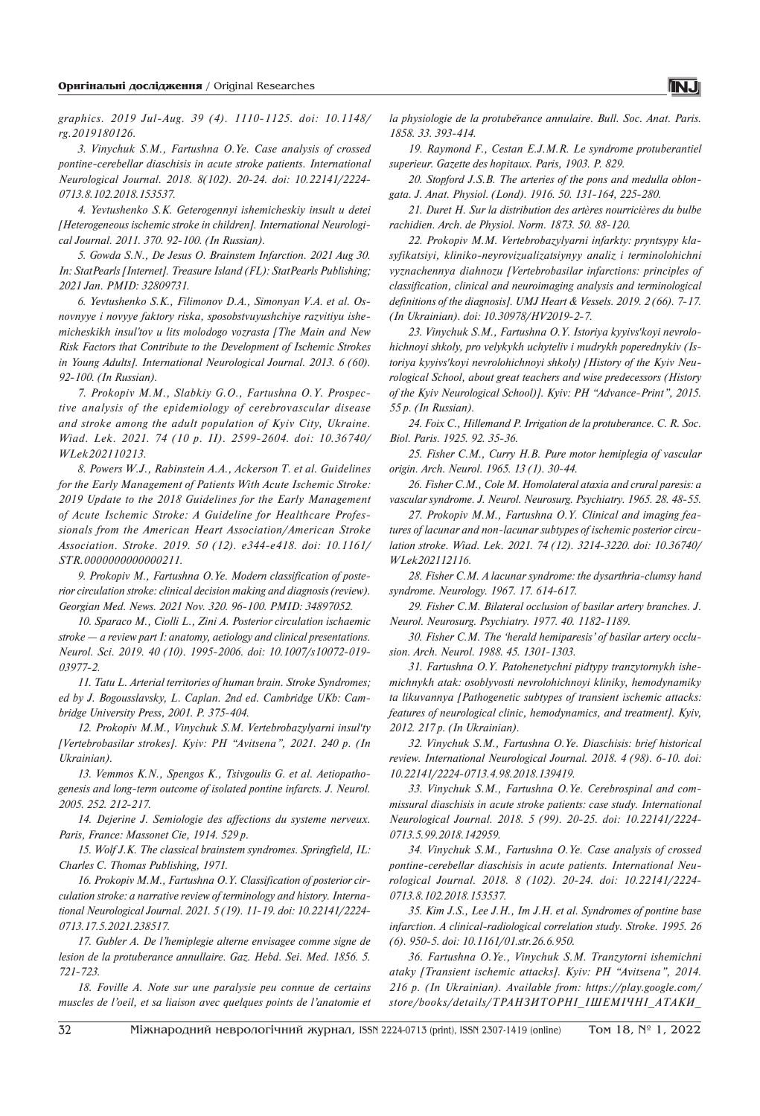*graphics. 2019 Jul-Aug. 39 (4). 1110-1125. doi: 10.1148/ rg.2019180126.*

*3. Vinychuk S.M., Fartushna O.Ye. Case analysis of crossed pontine-cerebellar diaschisis in acute stroke patients. International Neurological Journal. 2018. 8(102). 20-24. doi: 10.22141/2224- 0713.8.102.2018.153537.*

*4. Yevtushenko S.K. Geterogennyi ishemicheskiy insult u detei [Heterogeneous ischemic stroke in children]. International Neurological Journal. 2011. 370. 92-100. (In Russian).*

*5. Gowda S.N., De Jesus O. Brainstem Infarction. 2021 Aug 30. In: StatPearls [Internet]. Treasure Island (FL): StatPearls Publishing; 2021 Jan. PMID: 32809731.*

*6. Yevtushenko S.K., Filimonov D.A., Simonyan V.A. et al. Osnovnyye i novyye faktory riska, sposobstvuyushchiye razvitiyu ishemicheskikh insul'tov u lits molodogo vozrasta [The Main and New Risk Factors that Contribute to the Development of Ischemic Strokes in Young Adults]. International Neurological Journal. 2013. 6 (60). 92-100. (In Russian).*

*7. Prokopiv M.M., Slabkiy G.O., Fartushna O.Y. Prospective analysis of the epidemiology of cerebrovascular disease and stroke among the adult population of Kyiv City, Ukraine. Wiad. Lek. 2021. 74 (10 p. II). 2599-2604. doi: 10.36740/ WLek202110213.*

*8. Powers W.J., Rabinstein A.A., Ackerson T. et al. Guidelines for the Early Management of Patients With Acute Ischemic Stroke: 2019 Update to the 2018 Guidelines for the Early Management of Acute Ischemic Stroke: A Guideline for Healthcare Professionals from the American Heart Association/American Stroke Association. Stroke. 2019. 50 (12). e344-e418. doi: 10.1161/ STR.0000000000000211.*

*9. Prokopiv M., Fartushna O.Ye. Modern classification of posterior circulation stroke: clinical decision making and diagnosis (review). Georgian Med. News. 2021 Nov. 320. 96-100. PMID: 34897052.*

*10. Sparaco M., Ciolli L., Zini A. Posterior circulation ischaemic stroke — a review part I: anatomy, aetiology and clinical presentations. Neurol. Sci. 2019. 40 (10). 1995-2006. doi: 10.1007/s10072-019- 03977-2.*

*11. Tatu L. Arterial territories of human brain. Stroke Syndromes; ed by J. Bogousslavsky, L. Caplan. 2nd ed. Cambridge UKb: Cambridge University Press, 2001. P. 375-404.*

*12. Prokopiv M.M., Vinychuk S.M. Vertebrobazylyarni insulʹty [Vertebrobasilar strokes]. Kyiv: PH "Avitsena", 2021. 240 p. (In Ukrainian).*

*13. Vemmos K.N., Spengos K., Tsivgoulis G. et al. Aetiopathogenesis and long-term outcome of isolated pontine infarcts. J. Neurol. 2005. 252. 212-217.*

*14. Dejerine J. Semiologie des affections du systeme nerveux. Paris, France: Massonet Cie, 1914. 529 p.*

*15. Wolf J.K. The сlassical brainstem syndromes. Springfield, IL: Charles C. Thomas Publishing, 1971.*

*16. Prokopiv M.M., Fartushna O.Y. Classification of posterior circulation stroke: a narrative review of terminology and history. International Neurological Journal. 2021. 5 (19). 11-19. doi: 10.22141/2224- 0713.17.5.2021.238517.*

*17. Gubler A. De l'hemiplegie alterne envisagee comme signe de lesion de la protuberance annullaire. Gaz. Hebd. Sei. Med. 1856. 5. 721-723.*

*18. Foville A. Note sur une paralysie peu connue de certains muscles de l'oeil, et sa liaison avec quelques points de l'anatomie et*  *la physiologie de la protubĕrance annulaire. Bull. Soc. Anat. Paris. 1858. 33. 393-414.*

*19. Raymond F., Cestan E.J.M.R. Le syndrome protuberantiel superieur. Gazette des hopitaux. Paris, 1903. P. 829.*

*20. Stopford J.S.B. The arteries of the pons and medulla oblongata. J. Anat. Physiol. (Lond). 1916. 50. 131-164, 225-280.*

*21. Duret H. Sur la distribution des artères nourricières du bulbe rachidien. Arch. de Physiol. Norm. 1873. 50. 88-120.*

*22. Prokopiv M.M. Vertebrobazylyarni infarkty: pryntsypy klasyfikatsiyi, kliniko-neyrovizualizatsiynyy analiz i terminolohichni vyznachennya diahnozu [Vertebrobasilar infarctions: principles of classification, clinical and neuroimaging analysis and terminological definitions of the diagnosis]. UMJ Heart & Vessels. 2019. 2 (66). 7-17. (In Ukrainian). doi: 10.30978/HV2019-2-7.*

*23. Vinychuk S.M., Fartushna O.Y. Istoriya kyyivsʹkoyi nevrolohichnoyi shkoly, pro velykykh uchyteliv i mudrykh poperednykiv (Istoriya kyyivsʹkoyi nevrolohichnoyi shkoly) [History of the Kyiv Neurological School, about great teachers and wise predecessors (History of the Kyiv Neurological School)]. Kyiv: PH "Advance-Print", 2015. 55 p. (In Russian).*

*24. Foix C., Hillemand P. Irrigation de la protuberance. C. R. Soc. Biol. Paris. 1925. 92. 35-36.*

*25. Fisher C.M., Curry H.B. Pure motor hemiplegia of vascular origin. Arch. Neurol. 1965. 13 (1). 30-44.*

*26. Fisher C.M., Cole M. Homolateral ataxia and crural paresis: a vascular syndrome. J. Neurol. Neurosurg. Psychiatry. 1965. 28. 48-55.*

*27. Prokopiv M.M., Fartushna O.Y. Сlinical and imaging features of lacunar and non-lacunar subtypes of ischemic posterior circulation stroke. Wiad. Lek. 2021. 74 (12). 3214-3220. doi: 10.36740/ WLek202112116.*

*28. Fisher C.M. A lacunar syndrome: the dysarthria-clumsy hand syndrome. Neurology. 1967. 17. 614-617.*

*29. Fisher C.M. Bilateral occlusion of basilar artery branches. J. Neurol. Neurosurg. Psychiatry. 1977. 40. 1182-1189.*

*30. Fisher C.M. The 'herald hemiparesis' of basilar artery occlusion. Arch. Neurol. 1988. 45. 1301-1303.*

*31. Fartushna O.Y. Patohenetychni pidtypy tranzytornykh ishemichnykh atak: osoblyvosti nevrolohichnoyi kliniky, hemodynamiky ta likuvannya [Pathogenetic subtypes of transient ischemic attacks: features of neurological clinic, hemodynamics, and treatment]. Kyiv, 2012. 217 p. (In Ukrainian).*

*32. Vinychuk S.M., Fartushna O.Ye. Diaschisis: brief historical review. International Neurological Journal. 2018. 4 (98). 6-10. doi: 10.22141/2224-0713.4.98.2018.139419.*

*33. Vinychuk S.M., Fartushna O.Ye. Cerebrospinal and commissural diaschisis in acute stroke patients: case study. International Neurological Journal. 2018. 5 (99). 20-25. doi: 10.22141/2224- 0713.5.99.2018.142959.*

*34. Vinychuk S.M., Fartushna O.Ye. Case analysis of crossed pontine-cerebellar diaschisis in acute patients. International Neurological Journal. 2018. 8 (102). 20-24. doi: 10.22141/2224- 0713.8.102.2018.153537.*

*35. Kim J.S., Lee J.H., Im J.H. et al. Syndromes of pontine base infarction. A clinical-radiological correlation study. Stroke. 1995. 26 (6). 950-5. doi: 10.1161/01.str.26.6.950.*

*36. Fartushna O.Ye., Vinychuk S.M. Tranzytorni ishemichni ataky [Transient ischemic attacks]. Kyiv: PH "Avitsena", 2014. 216 p. (In Ukrainian). Available from: https://play.google.com/ store/books/details/ТРАНЗИТОРНІ\_ІШЕМІЧНІ\_АТАКИ\_*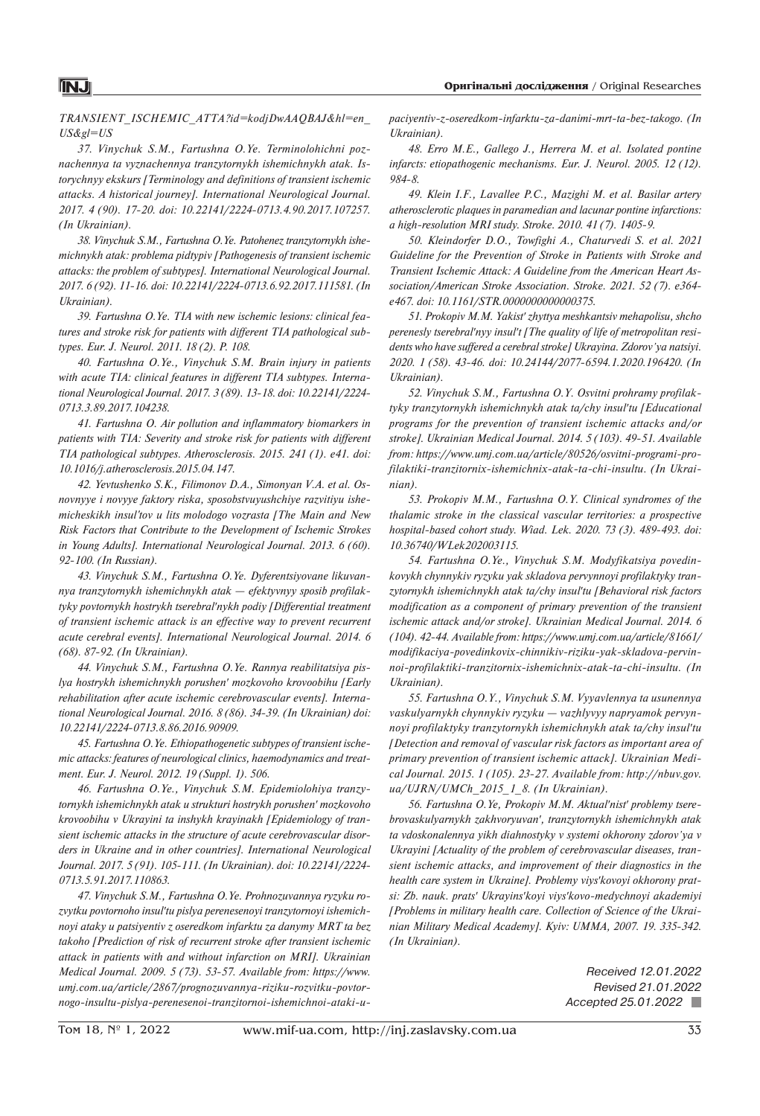*TRANSIENT\_ISCHEMIC\_ATTA?id=kodjDwAAQBAJ&hl=en\_ US&gl=US*

*37. Vinychuk S.M., Fartushna O.Ye. Terminolohichni poznachennya ta vyznachennya tranzytornykh ishemichnykh atak. Istorychnyy ekskurs [Terminology and definitions of transient ischemic attacks. A historical journey]. International Neurological Journal. 2017. 4 (90). 17-20. doi: 10.22141/2224-0713.4.90.2017.107257. (In Ukrainian).*

*38. Vinychuk S.M., Fartushna O.Ye. Patohenez tranzytornykh ishemichnykh atak: problema pidtypiv [Pathogenesis of transient ischemic attacks: the problem of subtypes]. International Neurological Journal. 2017. 6 (92). 11-16. doi: 10.22141/2224-0713.6.92.2017.111581. (In Ukrainian).*

*39. Fartushna O.Ye. TIA with new ischemic lesions: clinical features and stroke risk for patients with different TIA pathological subtypes. Eur. J. Neurol. 2011. 18 (2). P. 108.*

*40. Fartushna O.Ye., Vinychuk S.M. Brain injury in patients with acute TIA: clinical features in different TIA subtypes. International Neurological Journal. 2017. 3 (89). 13-18. doi: 10.22141/2224- 0713.3.89.2017.104238.*

*41. Fartushna O. Air pollution and inflammatory biomarkers in patients with TIA: Severity and stroke risk for patients with different TIA pathological subtypes. Atherosclerosis. 2015. 241 (1). e41. doi: 10.1016/j.atherosclerosis.2015.04.147.*

*42. Yevtushenko S.K., Filimonov D.A., Simonyan V.A. et al. Osnovnyye i novyye faktory riska, sposobstvuyushchiye razvitiyu ishemicheskikh insul'tov u lits molodogo vozrasta [The Main and New Risk Factors that Contribute to the Development of Ischemic Strokes in Young Adults]. International Neurological Journal. 2013. 6 (60). 92-100. (In Russian).*

*43. Vinychuk S.M., Fartushna O.Ye. Dyferentsiyovane likuvannya tranzytornykh ishemichnykh atak — efektyvnyy sposib profilaktyky povtornykh hostrykh tserebralʹnykh podiy [Differential treatment of transient ischemic attack is an effective way to prevent recurrent acute cerebral events]. International Neurological Journal. 2014. 6 (68). 87-92. (In Ukrainian).*

*44. Vinychuk S.M., Fartushna O.Ye. Rannya reabilitatsiya pislya hostrykh ishemichnykh porushenʹ mozkovoho krovoobihu [Early rehabilitation after acute ischemic cerebrovascular events]. International Neurological Journal. 2016. 8 (86). 34-39. (In Ukrainian) doi: 10.22141/2224-0713.8.86.2016.90909.*

*45. Fartushna O.Ye. Ethiopathogenetic subtypes of transient ischemic attacks: features of neurological clinics, haemodynamics and treatment. Eur. J. Neurol. 2012. 19 (Suppl. 1). 506.*

*46. Fartushna O.Ye., Vinychuk S.M. Epidemiolohiya tranzytornykh ishemichnykh atak u strukturi hostrykh porushenʹ mozkovoho krovoobihu v Ukrayini ta inshykh krayinakh [Epidemiology of transient ischemic attacks in the structure of acute cerebrovascular disorders in Ukraine and in other countries]. International Neurological Journal. 2017. 5 (91). 105-111. (In Ukrainian). doi: 10.22141/2224- 0713.5.91.2017.110863.*

*47. Vinychuk S.M., Fartushna O.Ye. Prohnozuvannya ryzyku rozvytku povtornoho insulʹtu pislya perenesenoyi tranzytornoyi ishemichnoyi ataky u patsiyentiv z oseredkom infarktu za danymy MRT ta bez takoho [Prediction of risk of recurrent stroke after transient ischemic attack in patients with and without infarction on MRI]. Ukrainian Medical Journal. 2009. 5 (73). 53-57. Available from: https://www. umj.com.ua/article/2867/prognozuvannya-riziku-rozvitku-povtornogo-insultu-pislya-perenesenoi-tranzitornoi-ishemichnoi-ataki-u-* *paciyentiv-z-oseredkom-infarktu-za-danimi-mrt-ta-bez-takogo. (In Ukrainian).*

*48. Erro M.E., Gallego J., Herrera M. et al. Isolated pontine infarcts: etiopathogenic mechanisms. Eur. J. Neurol. 2005. 12 (12). 984-8.*

*49. Klein I.F., Lavallee P.C., Mazighi M. et al. Basilar artery atherosclerotic plaques in paramedian and lacunar pontine infarctions: a high-resolution MRI study. Stroke. 2010. 41 (7). 1405-9.*

*50. Kleindorfer D.O., Towfighi A., Chaturvedi S. et al. 2021 Guideline for the Prevention of Stroke in Patients with Stroke and Transient Ischemic Attack: A Guideline from the American Heart Association/American Stroke Association. Stroke. 2021. 52 (7). e364 e467. doi: 10.1161/STR.0000000000000375.*

*51. Prokopiv M.M. Yakistʹ zhyttya meshkantsiv mehapolisu, shcho perenesly tserebralʹnyy insulʹt [The quality of life of metropolitan residents who have suffered a cerebral stroke] Ukrayina. Zdorov'ya natsiyi. 2020. 1 (58). 43-46. doi: 10.24144/2077-6594.1.2020.196420. (In Ukrainian).*

*52. Vinychuk S.M., Fartushna O.Y. Osvitni prohramy profilaktyky tranzytornykh ishemichnykh atak ta/chy insulʹtu [Educational programs for the prevention of transient ischemic attacks and/or stroke]. Ukrainian Medical Journal. 2014. 5 (103). 49-51. Available from: https://www.umj.com.ua/article/80526/osvitni-programi-profilaktiki-tranzitornix-ishemichnix-atak-ta-chi-insultu. (In Ukrainian).*

*53. Prokopiv M.M., Fartushna O.Y. Clinical syndromes of the thalamic stroke in the classical vascular territories: a prospective hospital-based cohort study. Wiad. Lek. 2020. 73 (3). 489-493. doi: 10.36740/WLek202003115.*

*54. Fartushna O.Ye., Vinychuk S.M. Modyfikatsiya povedinkovykh chynnykiv ryzyku yak skladova pervynnoyi profilaktyky tranzytornykh ishemichnykh atak ta/chy insulʹtu [Behavioral risk factors modification as a component of primary prevention of the transient ischemic attack and/or stroke]. Ukrainian Medical Journal. 2014. 6 (104). 42-44. Available from: https://www.umj.com.ua/article/81661/ modifikaciya-povedinkovix-chinnikiv-riziku-yak-skladova-pervinnoi-profilaktiki-tranzitornix-ishemichnix-atak-ta-chi-insultu. (In Ukrainian).*

*55. Fartushna O.Y., Vinychuk S.M. Vyyavlennya ta usunennya vaskulyarnykh chynnykiv ryzyku — vazhlyvyy napryamok pervynnoyi profilaktyky tranzytornykh ishemichnykh atak ta/chy insulʹtu [Detection and removal of vascular risk factors as important area of primary prevention of transient ischemic attack]. Ukrainian Medical Journal. 2015. 1 (105). 23-27. Available from: http://nbuv.gov. ua/UJRN/UMCh\_2015\_1\_8. (In Ukrainian).*

*56. Fartushna O.Ye, Prokopiv M.M. Aktualʹnistʹ problemy tserebrovaskulyarnykh zakhvoryuvanʹ, tranzytornykh ishemichnykh atak ta vdoskonalennya yikh diahnostyky v systemi okhorony zdorov'ya v Ukrayini [Actuality of the problem of cerebrovascular diseases, transient ischemic attacks, and improvement of their diagnostics in the health care system in Ukraine]. Problemy viysʹkovoyi okhorony pratsi: Zb. nauk. pratsʹ Ukrayinsʹkoyi viysʹkovo-medychnoyi akademiyi [Problems in military health care. Collection of Science of the Ukrainian Military Medical Academy]. Kyiv: UMMA, 2007. 19. 335-342. (In Ukrainian).*

> *Received 12.01.2022 Revised 21.01.2022 Accepted 25.01.2022*

# **INJ**